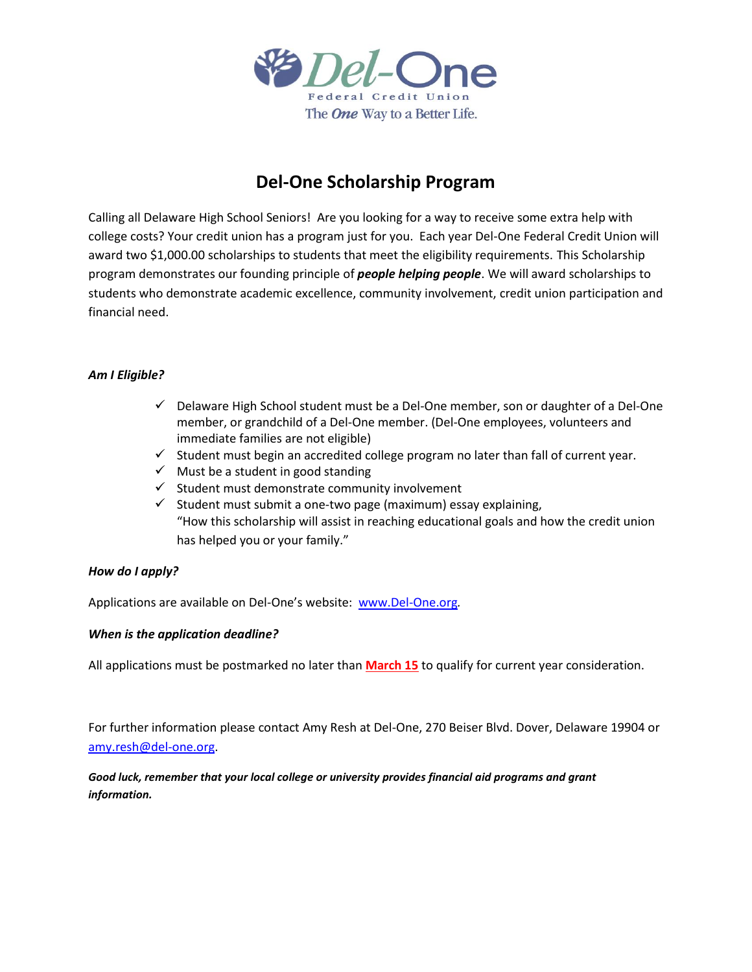

## **Del-One Scholarship Program**

Calling all Delaware High School Seniors! Are you looking for a way to receive some extra help with college costs? Your credit union has a program just for you. Each year Del-One Federal Credit Union will award two \$1,000.00 scholarships to students that meet the eligibility requirements. This Scholarship program demonstrates our founding principle of *people helping people*. We will award scholarships to students who demonstrate academic excellence, community involvement, credit union participation and financial need.

### *Am I Eligible?*

- $\checkmark$  Delaware High School student must be a Del-One member, son or daughter of a Del-One member, or grandchild of a Del-One member. (Del-One employees, volunteers and immediate families are not eligible)
- $\checkmark$  Student must begin an accredited college program no later than fall of current year.
- $\checkmark$  Must be a student in good standing
- $\checkmark$  Student must demonstrate community involvement
- $\checkmark$  Student must submit a one-two page (maximum) essay explaining, "How this scholarship will assist in reaching educational goals and how the credit union has helped you or your family."

### *How do I apply?*

Applications are available on Del-One's website: [www.Del-One.org](http://www.del-one.org/)*.*

### *When is the application deadline?*

All applications must be postmarked no later than **March 15** to qualify for current year consideration.

For further information please contact Amy Resh at Del-One, 270 Beiser Blvd. Dover, Delaware 19904 or [amy.resh@del-one.org.](mailto:amy.resh@del-one.org)

*Good luck, remember that your local college or university provides financial aid programs and grant information.*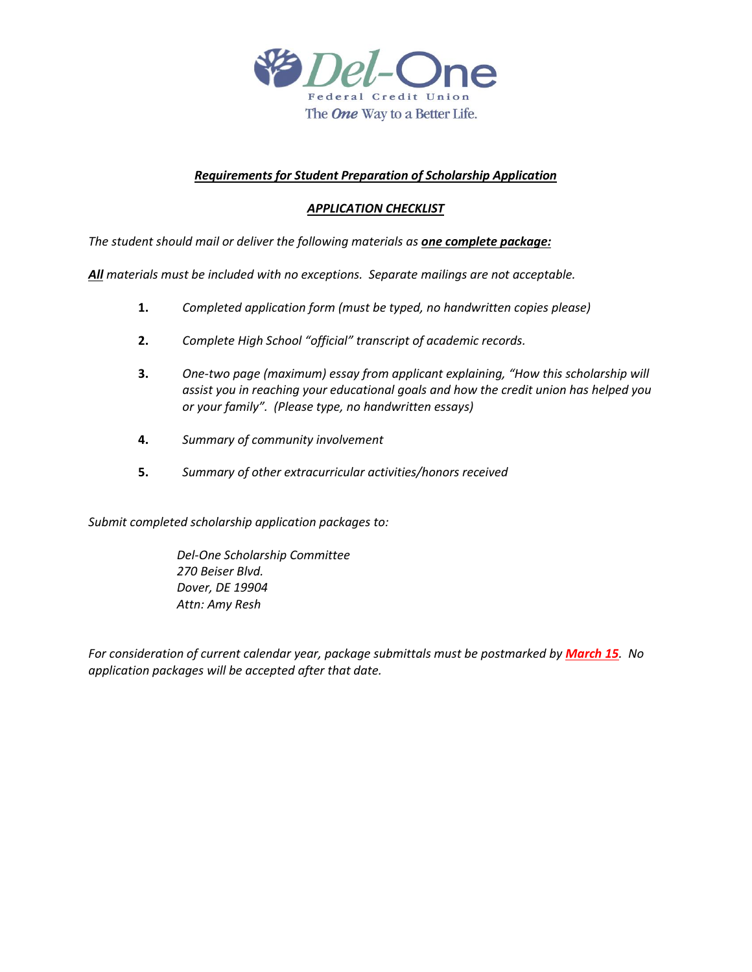

### *Requirements for Student Preparation of Scholarship Application*

### *APPLICATION CHECKLIST*

*The student should mail or deliver the following materials as one complete package:*

*All materials must be included with no exceptions. Separate mailings are not acceptable.*

- **1.** *Completed application form (must be typed, no handwritten copies please)*
- **2.** *Complete High School "official" transcript of academic records.*
- **3.** *One-two page (maximum) essay from applicant explaining, "How this scholarship will assist you in reaching your educational goals and how the credit union has helped you or your family". (Please type, no handwritten essays)*
- **4.** *Summary of community involvement*
- **5.** *Summary of other extracurricular activities/honors received*

*Submit completed scholarship application packages to:*

*Del-One Scholarship Committee 270 Beiser Blvd. Dover, DE 19904 Attn: Amy Resh*

*For consideration of current calendar year, package submittals must be postmarked by March 15. No application packages will be accepted after that date.*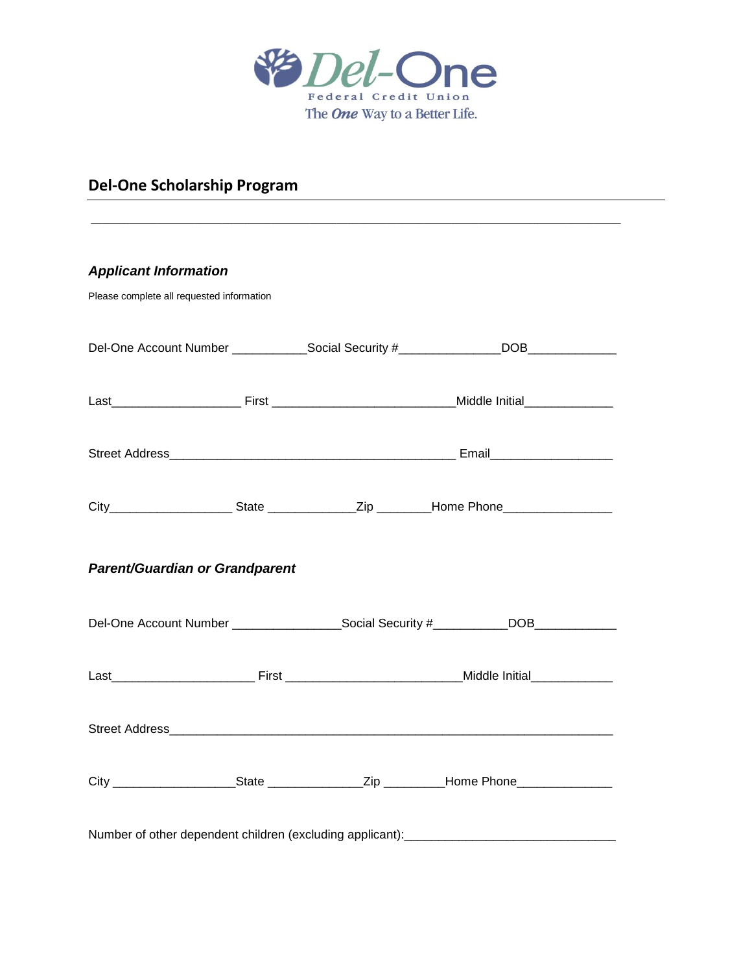

# **Del-One Scholarship Program**

| <b>Applicant Information</b>                                                                         |  |
|------------------------------------------------------------------------------------------------------|--|
| Please complete all requested information                                                            |  |
| Del-One Account Number ______________Social Security #_______________DOB_______________              |  |
|                                                                                                      |  |
|                                                                                                      |  |
| City________________________State ________________Zip _________Home Phone__________________________  |  |
| <b>Parent/Guardian or Grandparent</b>                                                                |  |
| Del-One Account Number ______________________Social Security #___________DOB________________________ |  |
|                                                                                                      |  |
|                                                                                                      |  |
| City ______________________State _________________Zip ___________Home Phone________________________  |  |
| Number of other dependent children (excluding applicant): _______________________                    |  |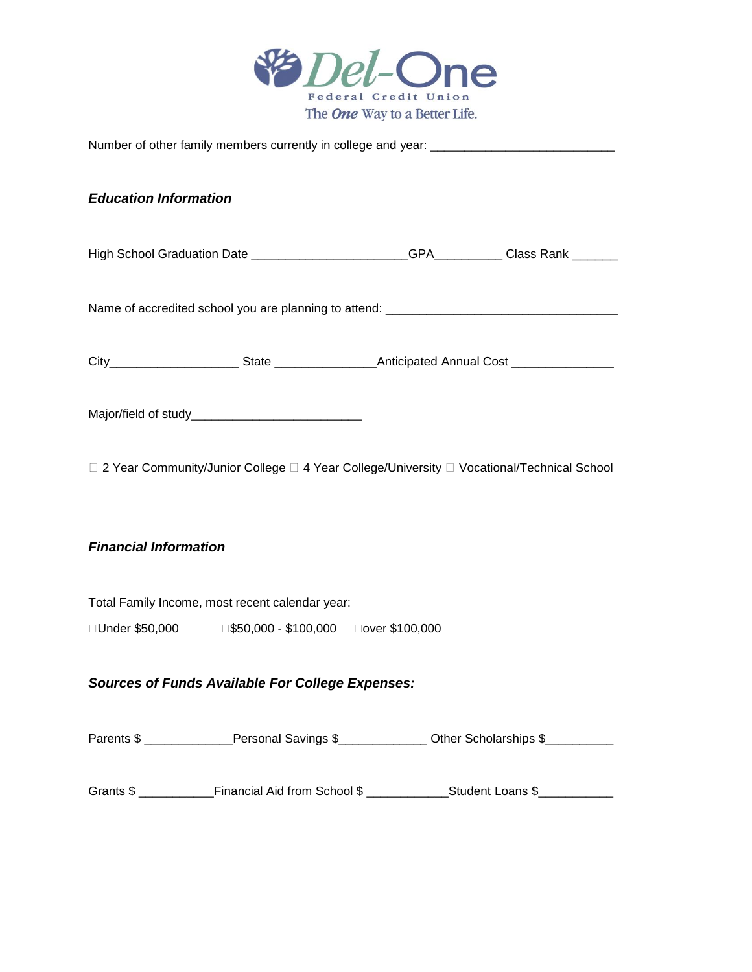

| Number of other family members currently in college and year: ___________________           |                                                                                                     |  |  |  |  |
|---------------------------------------------------------------------------------------------|-----------------------------------------------------------------------------------------------------|--|--|--|--|
| <b>Education Information</b>                                                                |                                                                                                     |  |  |  |  |
|                                                                                             | High School Graduation Date _____________________GPA_________Class Rank _______                     |  |  |  |  |
|                                                                                             |                                                                                                     |  |  |  |  |
|                                                                                             | City__________________________State _______________________Anticipated Annual Cost ________________ |  |  |  |  |
|                                                                                             |                                                                                                     |  |  |  |  |
| □ 2 Year Community/Junior College □ 4 Year College/University □ Vocational/Technical School |                                                                                                     |  |  |  |  |
| <b>Financial Information</b>                                                                |                                                                                                     |  |  |  |  |
| Total Family Income, most recent calendar year:                                             |                                                                                                     |  |  |  |  |
|                                                                                             |                                                                                                     |  |  |  |  |
| <b>Sources of Funds Available For College Expenses:</b>                                     |                                                                                                     |  |  |  |  |
|                                                                                             | Parents \$ ______________Personal Savings \$_______________Other Scholarships \$__________          |  |  |  |  |
|                                                                                             |                                                                                                     |  |  |  |  |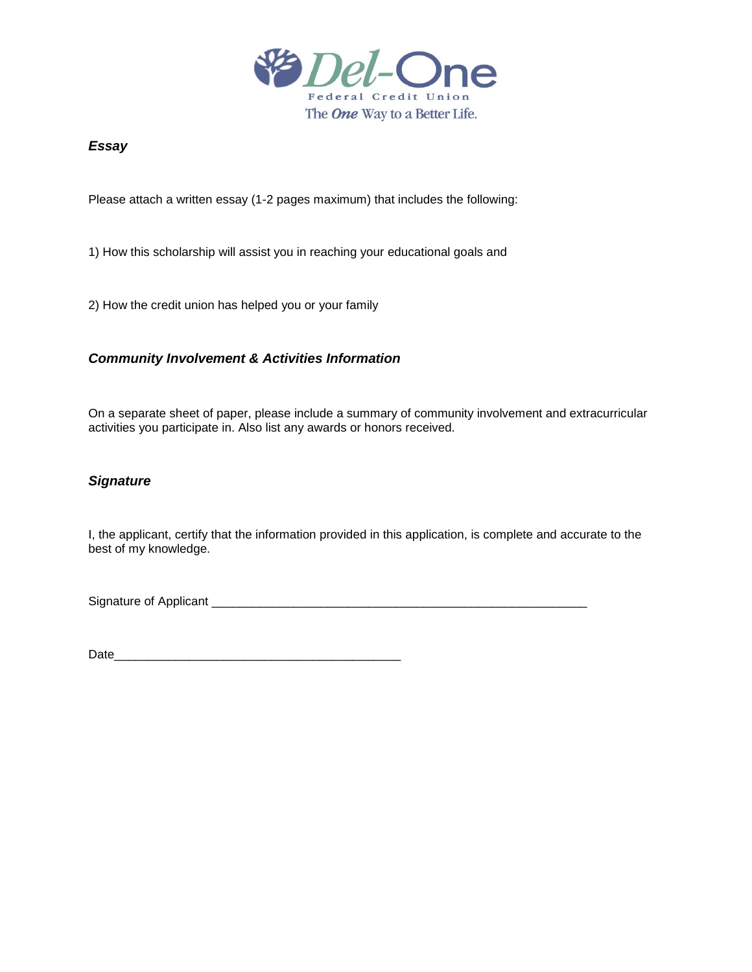

### *Essay*

Please attach a written essay (1-2 pages maximum) that includes the following:

1) How this scholarship will assist you in reaching your educational goals and

2) How the credit union has helped you or your family

## *Community Involvement & Activities Information*

On a separate sheet of paper, please include a summary of community involvement and extracurricular activities you participate in. Also list any awards or honors received.

### *Signature*

I, the applicant, certify that the information provided in this application, is complete and accurate to the best of my knowledge.

Signature of Applicant \_\_\_\_\_\_\_\_\_\_\_\_\_\_\_\_\_\_\_\_\_\_\_\_\_\_\_\_\_\_\_\_\_\_\_\_\_\_\_\_\_\_\_\_\_\_\_\_\_\_\_\_\_\_\_

Date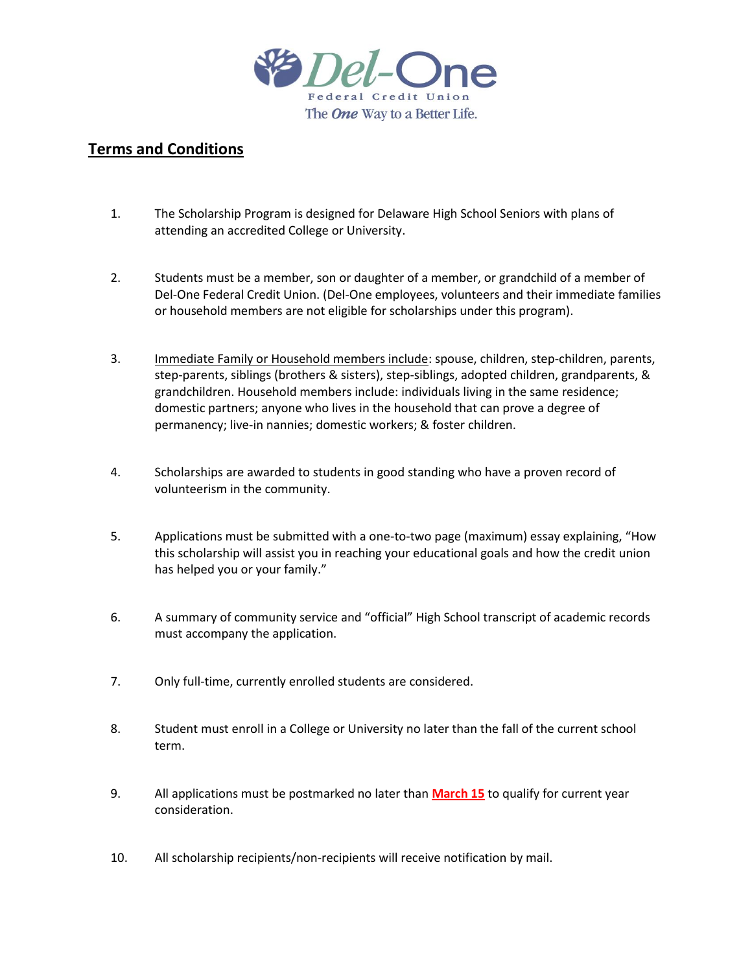

## **Terms and Conditions**

- 1. The Scholarship Program is designed for Delaware High School Seniors with plans of attending an accredited College or University.
- 2. Students must be a member, son or daughter of a member, or grandchild of a member of Del-One Federal Credit Union. (Del-One employees, volunteers and their immediate families or household members are not eligible for scholarships under this program).
- 3. Immediate Family or Household members include: spouse, children, step-children, parents, step-parents, siblings (brothers & sisters), step-siblings, adopted children, grandparents, & grandchildren. Household members include: individuals living in the same residence; domestic partners; anyone who lives in the household that can prove a degree of permanency; live-in nannies; domestic workers; & foster children.
- 4. Scholarships are awarded to students in good standing who have a proven record of volunteerism in the community.
- 5. Applications must be submitted with a one-to-two page (maximum) essay explaining, "How this scholarship will assist you in reaching your educational goals and how the credit union has helped you or your family."
- 6. A summary of community service and "official" High School transcript of academic records must accompany the application.
- 7. Only full-time, currently enrolled students are considered.
- 8. Student must enroll in a College or University no later than the fall of the current school term.
- 9. All applications must be postmarked no later than **March 15** to qualify for current year consideration.
- 10. All scholarship recipients/non-recipients will receive notification by mail.